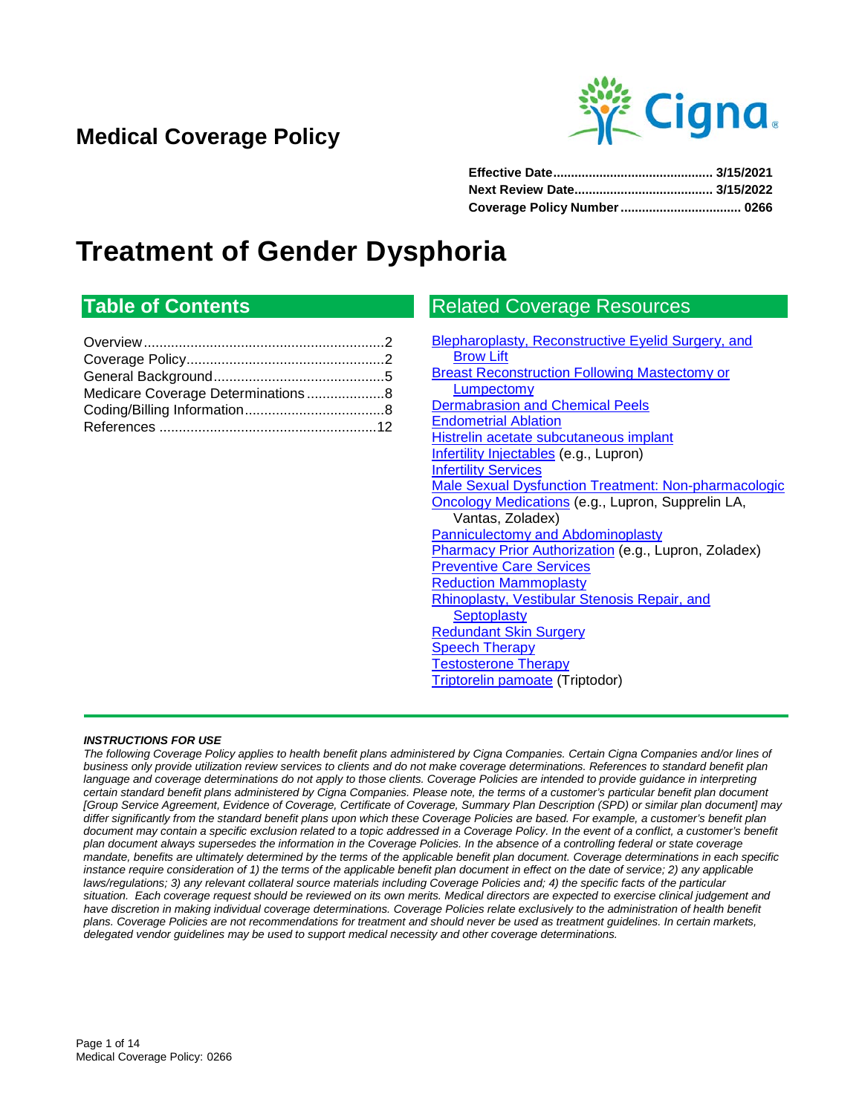## **Medical Coverage Policy**



# **Treatment of Gender Dysphoria**

## **Table of Contents**

## Related Coverage Resources

| Blepharoplasty, Reconstructive Eyelid Surgery, and          |
|-------------------------------------------------------------|
| <b>Brow Lift</b>                                            |
| <b>Breast Reconstruction Following Mastectomy or</b>        |
| <b>Lumpectomy</b>                                           |
| <b>Dermabrasion and Chemical Peels</b>                      |
| <b>Endometrial Ablation</b>                                 |
| Histrelin acetate subcutaneous implant                      |
| Infertility Injectables (e.g., Lupron)                      |
| <b>Infertility Services</b>                                 |
| <b>Male Sexual Dysfunction Treatment: Non-pharmacologic</b> |
| <b>Oncology Medications</b> (e.g., Lupron, Supprelin LA,    |
| Vantas, Zoladex)                                            |
| Panniculectomy and Abdominoplasty                           |
| Pharmacy Prior Authorization (e.g., Lupron, Zoladex)        |
| <b>Preventive Care Services</b>                             |
| <b>Reduction Mammoplasty</b>                                |
| <b>Rhinoplasty, Vestibular Stenosis Repair, and</b>         |
| <b>Septoplasty</b>                                          |
| <b>Redundant Skin Surgery</b>                               |
| <b>Speech Therapy</b>                                       |
| <b>Testosterone Therapy</b>                                 |
| <b>Triptorelin pamoate</b> (Triptodor)                      |
|                                                             |

#### *INSTRUCTIONS FOR USE*

*The following Coverage Policy applies to health benefit plans administered by Cigna Companies. Certain Cigna Companies and/or lines of business only provide utilization review services to clients and do not make coverage determinations. References to standard benefit plan*  language and coverage determinations do not apply to those clients. Coverage Policies are intended to provide guidance in interpreting *certain standard benefit plans administered by Cigna Companies. Please note, the terms of a customer's particular benefit plan document [Group Service Agreement, Evidence of Coverage, Certificate of Coverage, Summary Plan Description (SPD) or similar plan document] may differ significantly from the standard benefit plans upon which these Coverage Policies are based. For example, a customer's benefit plan*  document may contain a specific exclusion related to a topic addressed in a Coverage Policy. In the event of a conflict, a customer's benefit *plan document always supersedes the information in the Coverage Policies. In the absence of a controlling federal or state coverage mandate, benefits are ultimately determined by the terms of the applicable benefit plan document. Coverage determinations in each specific instance require consideration of 1) the terms of the applicable benefit plan document in effect on the date of service; 2) any applicable laws/regulations; 3) any relevant collateral source materials including Coverage Policies and; 4) the specific facts of the particular situation. Each coverage request should be reviewed on its own merits. Medical directors are expected to exercise clinical judgement and have discretion in making individual coverage determinations. Coverage Policies relate exclusively to the administration of health benefit plans. Coverage Policies are not recommendations for treatment and should never be used as treatment guidelines. In certain markets, delegated vendor guidelines may be used to support medical necessity and other coverage determinations.*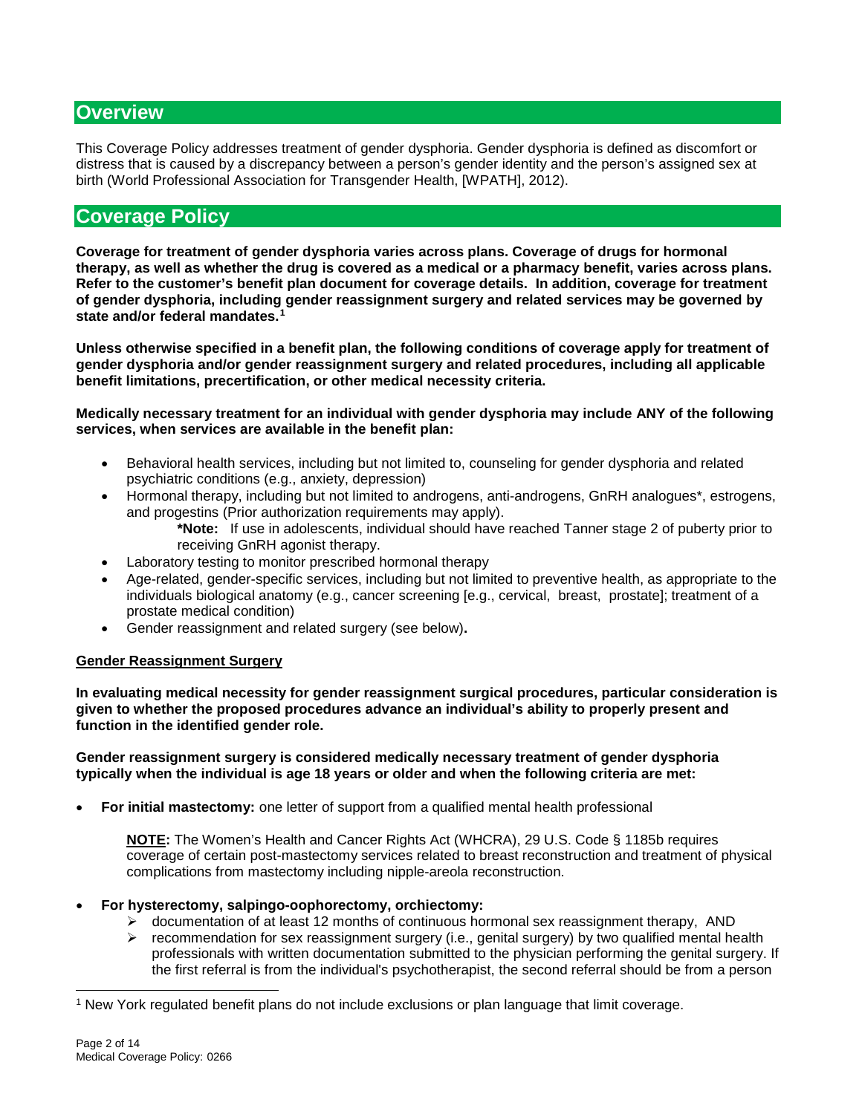## <span id="page-1-0"></span>**Overview**

This Coverage Policy addresses treatment of gender dysphoria. Gender dysphoria is defined as discomfort or distress that is caused by a discrepancy between a person's gender identity and the person's assigned sex at birth (World Professional Association for Transgender Health, [WPATH], 2012).

## <span id="page-1-1"></span>**Coverage Policy**

**Coverage for treatment of gender dysphoria varies across plans. Coverage of drugs for hormonal therapy, as well as whether the drug is covered as a medical or a pharmacy benefit, varies across plans. Refer to the customer's benefit plan document for coverage details. In addition, coverage for treatment of gender dysphoria, including gender reassignment surgery and related services may be governed by state and/or federal mandates.[1](#page-1-2)**

**Unless otherwise specified in a benefit plan, the following conditions of coverage apply for treatment of gender dysphoria and/or gender reassignment surgery and related procedures, including all applicable benefit limitations, precertification, or other medical necessity criteria.** 

**Medically necessary treatment for an individual with gender dysphoria may include ANY of the following services, when services are available in the benefit plan:**

- Behavioral health services, including but not limited to, counseling for gender dysphoria and related psychiatric conditions (e.g., anxiety, depression)
- Hormonal therapy, including but not limited to androgens, anti-androgens, GnRH analogues\*, estrogens, and progestins (Prior authorization requirements may apply).
	- **\*Note:** If use in adolescents, individual should have reached Tanner stage 2 of puberty prior to receiving GnRH agonist therapy.
- Laboratory testing to monitor prescribed hormonal therapy
- Age-related, gender-specific services, including but not limited to preventive health, as appropriate to the individuals biological anatomy (e.g., cancer screening [e.g., cervical, breast, prostate]; treatment of a prostate medical condition)
- Gender reassignment and related surgery (see below)**.**

#### **Gender Reassignment Surgery**

**In evaluating medical necessity for gender reassignment surgical procedures, particular consideration is given to whether the proposed procedures advance an individual's ability to properly present and function in the identified gender role.** 

**Gender reassignment surgery is considered medically necessary treatment of gender dysphoria typically when the individual is age 18 years or older and when the following criteria are met:** 

• **For initial mastectomy:** one letter of support from a qualified mental health professional

**NOTE:** The Women's Health and Cancer Rights Act (WHCRA), 29 U.S. Code § 1185b requires coverage of certain post-mastectomy services related to breast reconstruction and treatment of physical complications from mastectomy including nipple-areola reconstruction.

#### • **For hysterectomy, salpingo-oophorectomy, orchiectomy:**

- $\triangleright$  documentation of at least 12 months of continuous hormonal sex reassignment therapy, AND
- $\triangleright$  recommendation for sex reassignment surgery (i.e., genital surgery) by two qualified mental health professionals with written documentation submitted to the physician performing the genital surgery. If the first referral is from the individual's psychotherapist, the second referral should be from a person

<span id="page-1-2"></span> <sup>1</sup> New York regulated benefit plans do not include exclusions or plan language that limit coverage.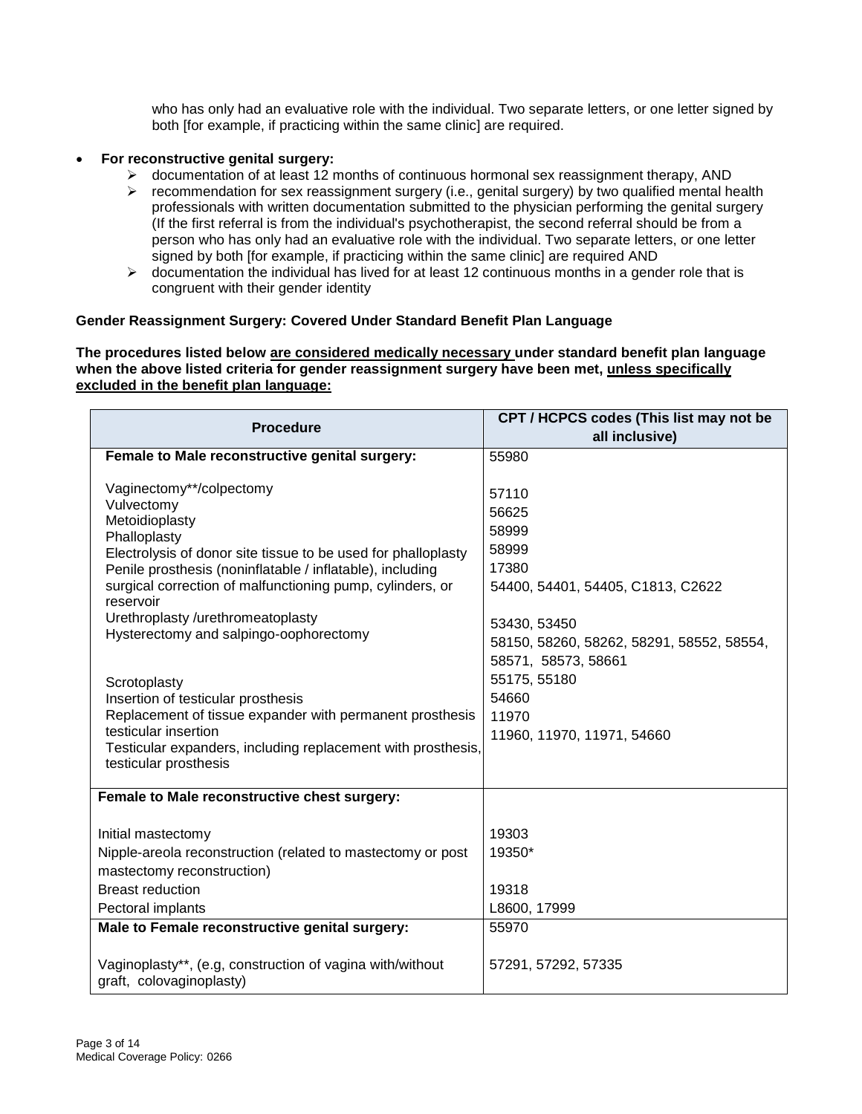who has only had an evaluative role with the individual. Two separate letters, or one letter signed by both [for example, if practicing within the same clinic] are required.

#### • **For reconstructive genital surgery:**

- $\triangleright$  documentation of at least 12 months of continuous hormonal sex reassignment therapy, AND
- $\triangleright$  recommendation for sex reassignment surgery (i.e., genital surgery) by two qualified mental health professionals with written documentation submitted to the physician performing the genital surgery (If the first referral is from the individual's psychotherapist, the second referral should be from a person who has only had an evaluative role with the individual. Two separate letters, or one letter signed by both [for example, if practicing within the same clinic] are required AND
- $\triangleright$  documentation the individual has lived for at least 12 continuous months in a gender role that is congruent with their gender identity

#### **Gender Reassignment Surgery: Covered Under Standard Benefit Plan Language**

**The procedures listed below are considered medically necessary under standard benefit plan language when the above listed criteria for gender reassignment surgery have been met, unless specifically excluded in the benefit plan language:**

| <b>Procedure</b>                                              | CPT / HCPCS codes (This list may not be   |  |
|---------------------------------------------------------------|-------------------------------------------|--|
|                                                               | all inclusive)                            |  |
| Female to Male reconstructive genital surgery:                | 55980                                     |  |
|                                                               |                                           |  |
| Vaginectomy**/colpectomy                                      | 57110                                     |  |
| Vulvectomy<br>Metoidioplasty                                  | 56625                                     |  |
| Phalloplasty                                                  | 58999                                     |  |
| Electrolysis of donor site tissue to be used for phalloplasty | 58999                                     |  |
| Penile prosthesis (noninflatable / inflatable), including     | 17380                                     |  |
| surgical correction of malfunctioning pump, cylinders, or     | 54400, 54401, 54405, C1813, C2622         |  |
| reservoir                                                     |                                           |  |
| Urethroplasty /urethromeatoplasty                             | 53430, 53450                              |  |
| Hysterectomy and salpingo-oophorectomy                        | 58150, 58260, 58262, 58291, 58552, 58554, |  |
|                                                               | 58571, 58573, 58661                       |  |
| Scrotoplasty                                                  | 55175, 55180                              |  |
| Insertion of testicular prosthesis                            | 54660                                     |  |
| Replacement of tissue expander with permanent prosthesis      | 11970                                     |  |
| testicular insertion                                          | 11960, 11970, 11971, 54660                |  |
| Testicular expanders, including replacement with prosthesis,  |                                           |  |
| testicular prosthesis                                         |                                           |  |
| Female to Male reconstructive chest surgery:                  |                                           |  |
|                                                               |                                           |  |
| Initial mastectomy                                            | 19303                                     |  |
| Nipple-areola reconstruction (related to mastectomy or post   | 19350*                                    |  |
| mastectomy reconstruction)                                    |                                           |  |
| <b>Breast reduction</b>                                       | 19318                                     |  |
| Pectoral implants                                             | L8600, 17999                              |  |
| Male to Female reconstructive genital surgery:                | 55970                                     |  |
|                                                               |                                           |  |
| Vaginoplasty**, (e.g, construction of vagina with/without     | 57291, 57292, 57335                       |  |
| graft, colovaginoplasty)                                      |                                           |  |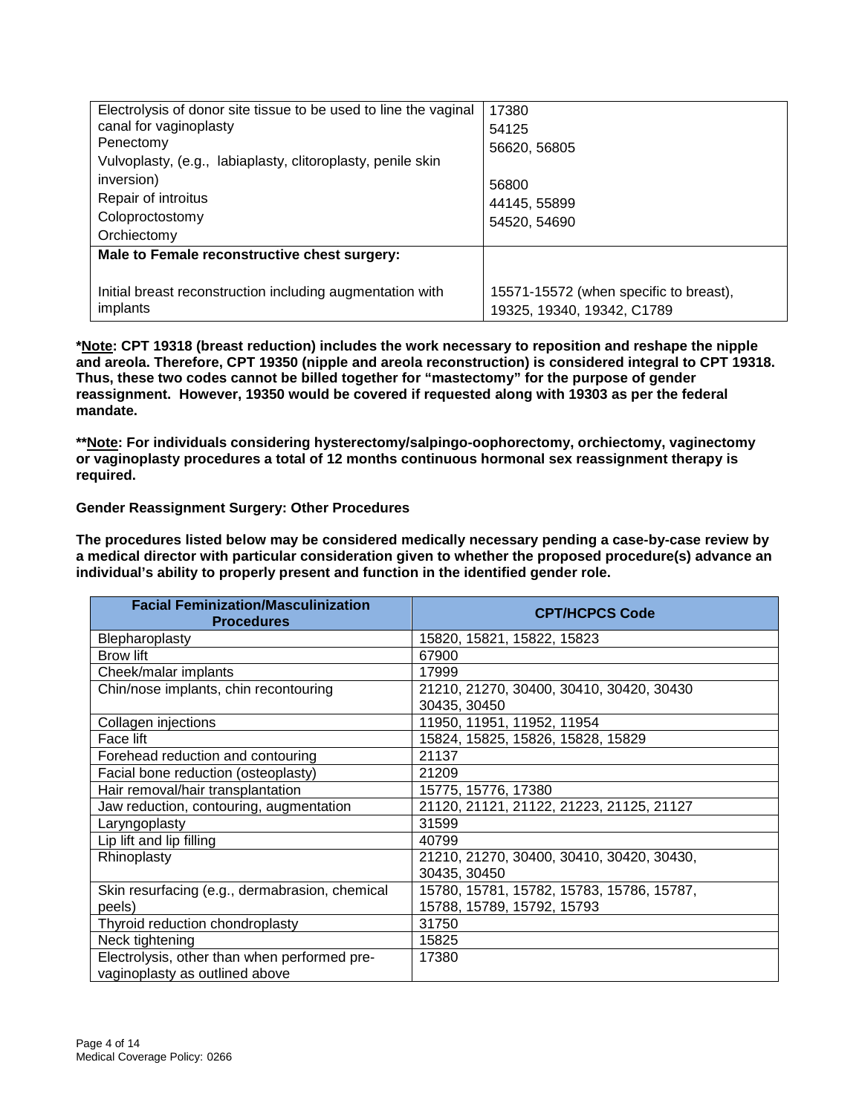| Electrolysis of donor site tissue to be used to line the vaginal | 17380                                  |
|------------------------------------------------------------------|----------------------------------------|
| canal for vaginoplasty                                           | 54125                                  |
| Penectomy                                                        | 56620, 56805                           |
| Vulvoplasty, (e.g., labiaplasty, clitoroplasty, penile skin      |                                        |
| inversion)                                                       | 56800                                  |
| Repair of introitus                                              | 44145, 55899                           |
| Coloproctostomy                                                  | 54520, 54690                           |
| Orchiectomy                                                      |                                        |
| Male to Female reconstructive chest surgery:                     |                                        |
|                                                                  |                                        |
| Initial breast reconstruction including augmentation with        | 15571-15572 (when specific to breast), |
| implants                                                         | 19325, 19340, 19342, C1789             |

**\*Note: CPT 19318 (breast reduction) includes the work necessary to reposition and reshape the nipple and areola. Therefore, CPT 19350 (nipple and areola reconstruction) is considered integral to CPT 19318. Thus, these two codes cannot be billed together for "mastectomy" for the purpose of gender reassignment. However, 19350 would be covered if requested along with 19303 as per the federal mandate.**

**\*\*Note: For individuals considering hysterectomy/salpingo-oophorectomy, orchiectomy, vaginectomy or vaginoplasty procedures a total of 12 months continuous hormonal sex reassignment therapy is required.** 

#### **Gender Reassignment Surgery: Other Procedures**

**The procedures listed below may be considered medically necessary pending a case-by-case review by a medical director with particular consideration given to whether the proposed procedure(s) advance an individual's ability to properly present and function in the identified gender role.** 

| <b>Facial Feminization/Masculinization</b><br><b>Procedures</b>                | <b>CPT/HCPCS Code</b>                     |
|--------------------------------------------------------------------------------|-------------------------------------------|
| Blepharoplasty                                                                 | 15820, 15821, 15822, 15823                |
| <b>Brow lift</b>                                                               | 67900                                     |
| Cheek/malar implants                                                           | 17999                                     |
| Chin/nose implants, chin recontouring                                          | 21210, 21270, 30400, 30410, 30420, 30430  |
|                                                                                | 30435, 30450                              |
| Collagen injections                                                            | 11950, 11951, 11952, 11954                |
| Face lift                                                                      | 15824, 15825, 15826, 15828, 15829         |
| Forehead reduction and contouring                                              | 21137                                     |
| Facial bone reduction (osteoplasty)                                            | 21209                                     |
| Hair removal/hair transplantation                                              | 15775, 15776, 17380                       |
| Jaw reduction, contouring, augmentation                                        | 21120, 21121, 21122, 21223, 21125, 21127  |
| Laryngoplasty                                                                  | 31599                                     |
| Lip lift and lip filling                                                       | 40799                                     |
| Rhinoplasty                                                                    | 21210, 21270, 30400, 30410, 30420, 30430, |
|                                                                                | 30435, 30450                              |
| Skin resurfacing (e.g., dermabrasion, chemical                                 | 15780, 15781, 15782, 15783, 15786, 15787, |
| peels)                                                                         | 15788, 15789, 15792, 15793                |
| Thyroid reduction chondroplasty                                                | 31750                                     |
| Neck tightening                                                                | 15825                                     |
| Electrolysis, other than when performed pre-<br>vaginoplasty as outlined above | 17380                                     |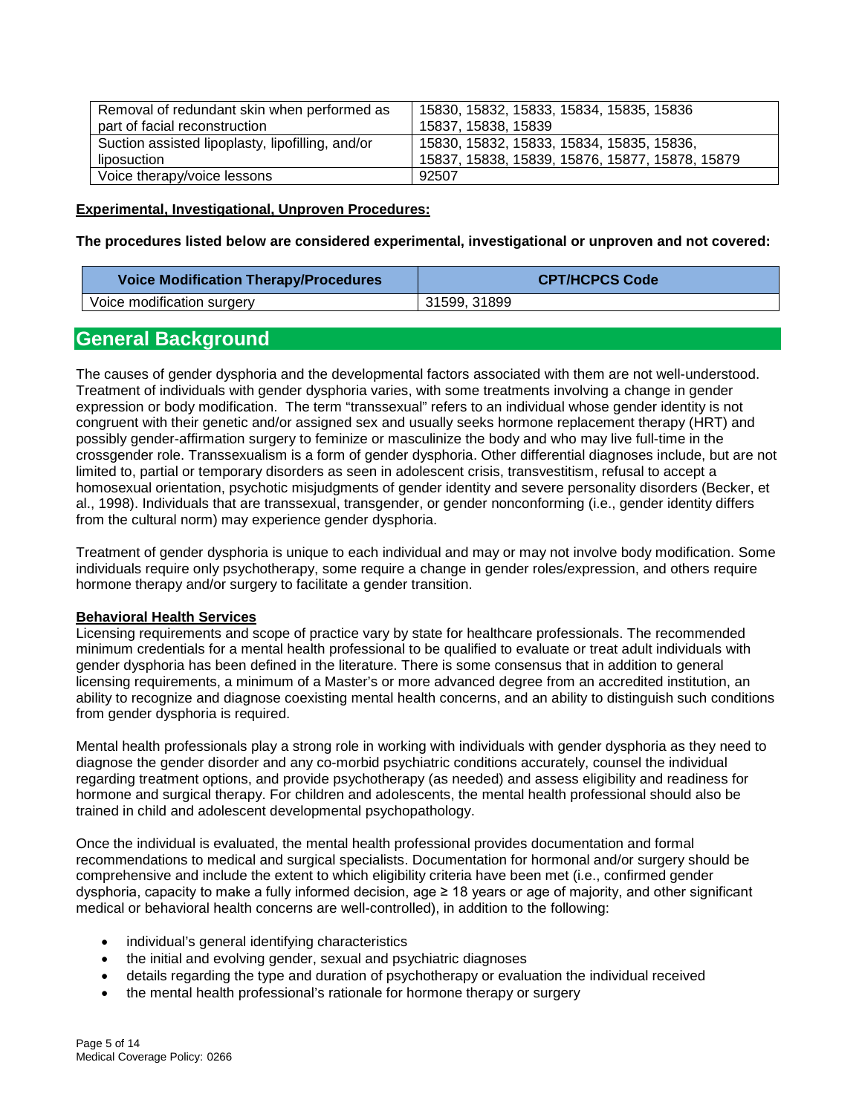| Removal of redundant skin when performed as      | 15830, 15832, 15833, 15834, 15835, 15836        |
|--------------------------------------------------|-------------------------------------------------|
| part of facial reconstruction                    | 15837, 15838, 15839                             |
| Suction assisted lipoplasty, lipofilling, and/or | 15830, 15832, 15833, 15834, 15835, 15836,       |
| liposuction                                      | 15837, 15838, 15839, 15876, 15877, 15878, 15879 |
| Voice therapy/voice lessons                      | 92507                                           |

#### **Experimental, Investigational, Unproven Procedures:**

**The procedures listed below are considered experimental, investigational or unproven and not covered:** 

| <b>Voice Modification Therapy/Procedures</b> | <b>CPT/HCPCS Code</b> |
|----------------------------------------------|-----------------------|
| Voice modification surgery                   | 31599, 31899          |

## <span id="page-4-0"></span>**General Background**

The causes of gender dysphoria and the developmental factors associated with them are not well-understood. Treatment of individuals with gender dysphoria varies, with some treatments involving a change in gender expression or body modification. The term "transsexual" refers to an individual whose gender identity is not congruent with their genetic and/or assigned sex and usually seeks hormone replacement therapy (HRT) and possibly gender-affirmation surgery to feminize or masculinize the body and who may live full-time in the crossgender role. Transsexualism is a form of gender dysphoria. Other differential diagnoses include, but are not limited to, partial or temporary disorders as seen in adolescent crisis, transvestitism, refusal to accept a homosexual orientation, psychotic misjudgments of gender identity and severe personality disorders (Becker, et al., 1998). Individuals that are transsexual, transgender, or gender nonconforming (i.e., gender identity differs from the cultural norm) may experience gender dysphoria.

Treatment of gender dysphoria is unique to each individual and may or may not involve body modification. Some individuals require only psychotherapy, some require a change in gender roles/expression, and others require hormone therapy and/or surgery to facilitate a gender transition.

#### **Behavioral Health Services**

Licensing requirements and scope of practice vary by state for healthcare professionals. The recommended minimum credentials for a mental health professional to be qualified to evaluate or treat adult individuals with gender dysphoria has been defined in the literature. There is some consensus that in addition to general licensing requirements, a minimum of a Master's or more advanced degree from an accredited institution, an ability to recognize and diagnose coexisting mental health concerns, and an ability to distinguish such conditions from gender dysphoria is required.

Mental health professionals play a strong role in working with individuals with gender dysphoria as they need to diagnose the gender disorder and any co-morbid psychiatric conditions accurately, counsel the individual regarding treatment options, and provide psychotherapy (as needed) and assess eligibility and readiness for hormone and surgical therapy. For children and adolescents, the mental health professional should also be trained in child and adolescent developmental psychopathology.

Once the individual is evaluated, the mental health professional provides documentation and formal recommendations to medical and surgical specialists. Documentation for hormonal and/or surgery should be comprehensive and include the extent to which eligibility criteria have been met (i.e., confirmed gender dysphoria, capacity to make a fully informed decision, age ≥ 18 years or age of majority, and other significant medical or behavioral health concerns are well-controlled), in addition to the following:

- individual's general identifying characteristics
- the initial and evolving gender, sexual and psychiatric diagnoses
- details regarding the type and duration of psychotherapy or evaluation the individual received
- the mental health professional's rationale for hormone therapy or surgery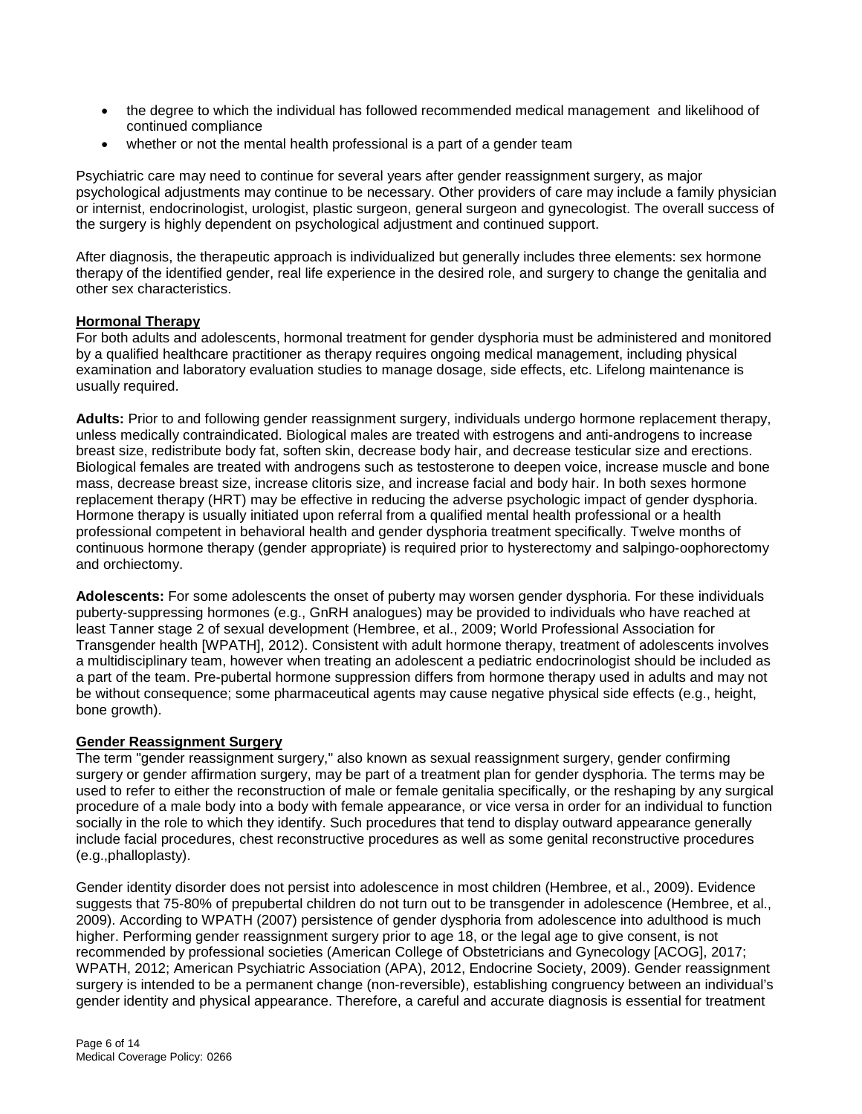- the degree to which the individual has followed recommended medical management and likelihood of continued compliance
- whether or not the mental health professional is a part of a gender team

Psychiatric care may need to continue for several years after gender reassignment surgery, as major psychological adjustments may continue to be necessary. Other providers of care may include a family physician or internist, endocrinologist, urologist, plastic surgeon, general surgeon and gynecologist. The overall success of the surgery is highly dependent on psychological adjustment and continued support.

After diagnosis, the therapeutic approach is individualized but generally includes three elements: sex hormone therapy of the identified gender, real life experience in the desired role, and surgery to change the genitalia and other sex characteristics.

#### **Hormonal Therapy**

For both adults and adolescents, hormonal treatment for gender dysphoria must be administered and monitored by a qualified healthcare practitioner as therapy requires ongoing medical management, including physical examination and laboratory evaluation studies to manage dosage, side effects, etc. Lifelong maintenance is usually required.

**Adults:** Prior to and following gender reassignment surgery, individuals undergo hormone replacement therapy, unless medically contraindicated. Biological males are treated with estrogens and anti-androgens to increase breast size, redistribute body fat, soften skin, decrease body hair, and decrease testicular size and erections. Biological females are treated with androgens such as testosterone to deepen voice, increase muscle and bone mass, decrease breast size, increase clitoris size, and increase facial and body hair. In both sexes hormone replacement therapy (HRT) may be effective in reducing the adverse psychologic impact of gender dysphoria. Hormone therapy is usually initiated upon referral from a qualified mental health professional or a health professional competent in behavioral health and gender dysphoria treatment specifically. Twelve months of continuous hormone therapy (gender appropriate) is required prior to hysterectomy and salpingo-oophorectomy and orchiectomy.

**Adolescents:** For some adolescents the onset of puberty may worsen gender dysphoria. For these individuals puberty-suppressing hormones (e.g., GnRH analogues) may be provided to individuals who have reached at least Tanner stage 2 of sexual development (Hembree, et al., 2009; World Professional Association for Transgender health [WPATH], 2012). Consistent with adult hormone therapy, treatment of adolescents involves a multidisciplinary team, however when treating an adolescent a pediatric endocrinologist should be included as a part of the team. Pre-pubertal hormone suppression differs from hormone therapy used in adults and may not be without consequence; some pharmaceutical agents may cause negative physical side effects (e.g., height, bone growth).

#### **Gender Reassignment Surgery**

The term "gender reassignment surgery," also known as sexual reassignment surgery, gender confirming surgery or gender affirmation surgery, may be part of a treatment plan for gender dysphoria. The terms may be used to refer to either the reconstruction of male or female genitalia specifically, or the reshaping by any surgical procedure of a male body into a body with female appearance, or vice versa in order for an individual to function socially in the role to which they identify. Such procedures that tend to display outward appearance generally include facial procedures, chest reconstructive procedures as well as some genital reconstructive procedures (e.g.,phalloplasty).

Gender identity disorder does not persist into adolescence in most children (Hembree, et al., 2009). Evidence suggests that 75-80% of prepubertal children do not turn out to be transgender in adolescence (Hembree, et al., 2009). According to WPATH (2007) persistence of gender dysphoria from adolescence into adulthood is much higher. Performing gender reassignment surgery prior to age 18, or the legal age to give consent, is not recommended by professional societies (American College of Obstetricians and Gynecology [ACOG], 2017; WPATH, 2012; American Psychiatric Association (APA), 2012, Endocrine Society, 2009). Gender reassignment surgery is intended to be a permanent change (non-reversible), establishing congruency between an individual's gender identity and physical appearance. Therefore, a careful and accurate diagnosis is essential for treatment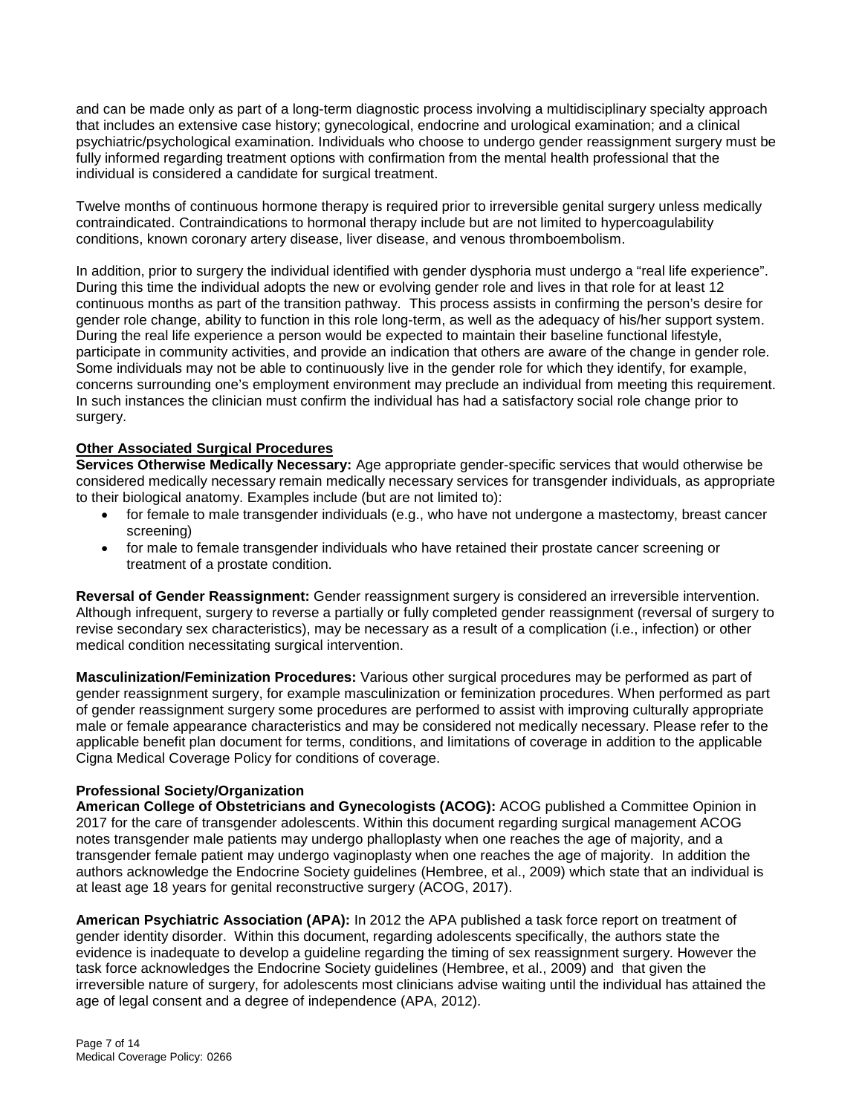and can be made only as part of a long-term diagnostic process involving a multidisciplinary specialty approach that includes an extensive case history; gynecological, endocrine and urological examination; and a clinical psychiatric/psychological examination. Individuals who choose to undergo gender reassignment surgery must be fully informed regarding treatment options with confirmation from the mental health professional that the individual is considered a candidate for surgical treatment.

Twelve months of continuous hormone therapy is required prior to irreversible genital surgery unless medically contraindicated. Contraindications to hormonal therapy include but are not limited to hypercoagulability conditions, known coronary artery disease, liver disease, and venous thromboembolism.

In addition, prior to surgery the individual identified with gender dysphoria must undergo a "real life experience". During this time the individual adopts the new or evolving gender role and lives in that role for at least 12 continuous months as part of the transition pathway. This process assists in confirming the person's desire for gender role change, ability to function in this role long-term, as well as the adequacy of his/her support system. During the real life experience a person would be expected to maintain their baseline functional lifestyle, participate in community activities, and provide an indication that others are aware of the change in gender role. Some individuals may not be able to continuously live in the gender role for which they identify, for example, concerns surrounding one's employment environment may preclude an individual from meeting this requirement. In such instances the clinician must confirm the individual has had a satisfactory social role change prior to surgery.

#### **Other Associated Surgical Procedures**

**Services Otherwise Medically Necessary:** Age appropriate gender-specific services that would otherwise be considered medically necessary remain medically necessary services for transgender individuals, as appropriate to their biological anatomy. Examples include (but are not limited to):

- for female to male transgender individuals (e.g., who have not undergone a mastectomy, breast cancer screening)
- for male to female transgender individuals who have retained their prostate cancer screening or treatment of a prostate condition.

**Reversal of Gender Reassignment:** Gender reassignment surgery is considered an irreversible intervention. Although infrequent, surgery to reverse a partially or fully completed gender reassignment (reversal of surgery to revise secondary sex characteristics), may be necessary as a result of a complication (i.e., infection) or other medical condition necessitating surgical intervention.

**Masculinization/Feminization Procedures:** Various other surgical procedures may be performed as part of gender reassignment surgery, for example masculinization or feminization procedures. When performed as part of gender reassignment surgery some procedures are performed to assist with improving culturally appropriate male or female appearance characteristics and may be considered not medically necessary. Please refer to the applicable benefit plan document for terms, conditions, and limitations of coverage in addition to the applicable Cigna Medical Coverage Policy for conditions of coverage.

#### **Professional Society/Organization**

**American College of Obstetricians and Gynecologists (ACOG):** ACOG published a Committee Opinion in 2017 for the care of transgender adolescents. Within this document regarding surgical management ACOG notes transgender male patients may undergo phalloplasty when one reaches the age of majority, and a transgender female patient may undergo vaginoplasty when one reaches the age of majority. In addition the authors acknowledge the Endocrine Society guidelines (Hembree, et al., 2009) which state that an individual is at least age 18 years for genital reconstructive surgery (ACOG, 2017).

**American Psychiatric Association (APA):** In 2012 the APA published a task force report on treatment of gender identity disorder. Within this document, regarding adolescents specifically, the authors state the evidence is inadequate to develop a guideline regarding the timing of sex reassignment surgery. However the task force acknowledges the Endocrine Society guidelines (Hembree, et al., 2009) and that given the irreversible nature of surgery, for adolescents most clinicians advise waiting until the individual has attained the age of legal consent and a degree of independence (APA, 2012).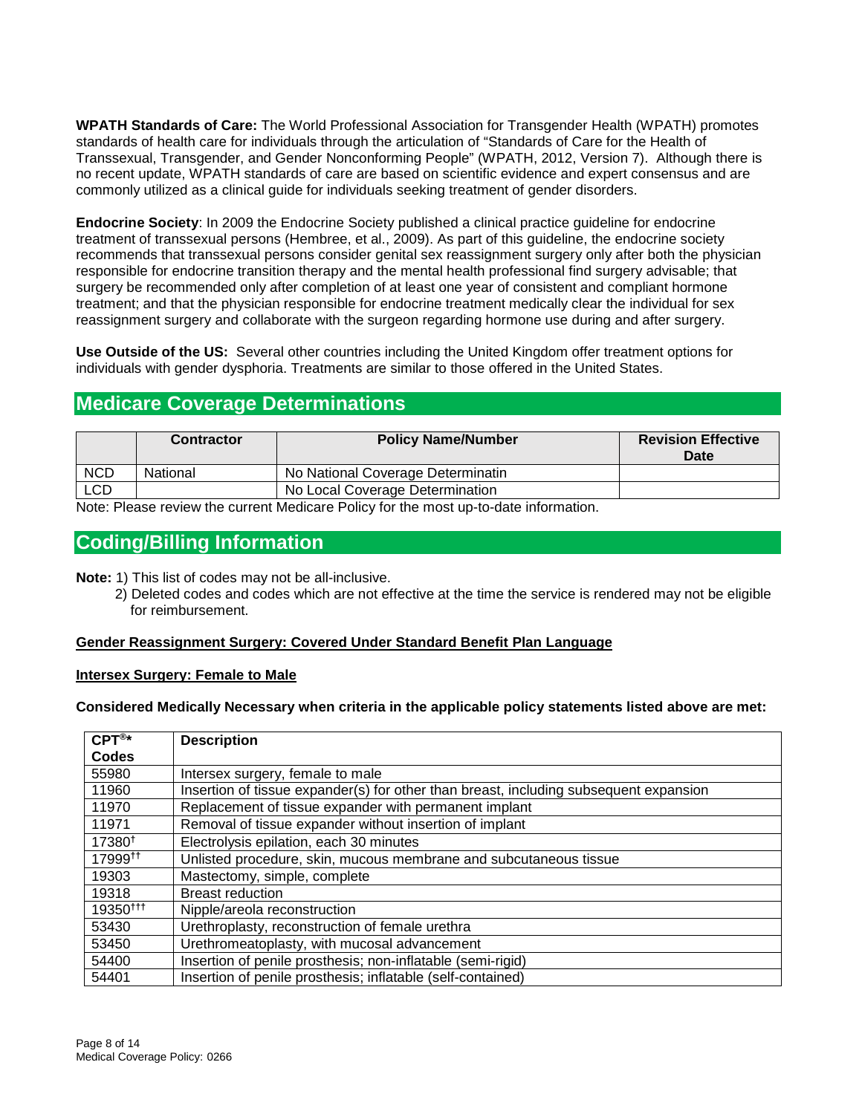**WPATH Standards of Care:** The World Professional Association for Transgender Health (WPATH) promotes standards of health care for individuals through the articulation of "Standards of Care for the Health of Transsexual, Transgender, and Gender Nonconforming People" (WPATH, 2012, Version 7). Although there is no recent update, WPATH standards of care are based on scientific evidence and expert consensus and are commonly utilized as a clinical guide for individuals seeking treatment of gender disorders.

**Endocrine Society**: In 2009 the Endocrine Society published a clinical practice guideline for endocrine treatment of transsexual persons (Hembree, et al., 2009). As part of this guideline, the endocrine society recommends that transsexual persons consider genital sex reassignment surgery only after both the physician responsible for endocrine transition therapy and the mental health professional find surgery advisable; that surgery be recommended only after completion of at least one year of consistent and compliant hormone treatment; and that the physician responsible for endocrine treatment medically clear the individual for sex reassignment surgery and collaborate with the surgeon regarding hormone use during and after surgery.

**Use Outside of the US:** Several other countries including the United Kingdom offer treatment options for individuals with gender dysphoria. Treatments are similar to those offered in the United States.

## <span id="page-7-0"></span>**Medicare Coverage Determinations**

|            | <b>Contractor</b> | <b>Policy Name/Number</b>         | <b>Revision Effective</b><br>Date |
|------------|-------------------|-----------------------------------|-----------------------------------|
| <b>NCD</b> | National          | No National Coverage Determinatin |                                   |
| <b>LCD</b> |                   | No Local Coverage Determination   |                                   |
|            | .                 | .                                 |                                   |

Note: Please review the current Medicare Policy for the most up-to-date information.

## <span id="page-7-1"></span>**Coding/Billing Information**

**Note:** 1) This list of codes may not be all-inclusive.

 2) Deleted codes and codes which are not effective at the time the service is rendered may not be eligible for reimbursement.

#### **Gender Reassignment Surgery: Covered Under Standard Benefit Plan Language**

#### **Intersex Surgery: Female to Male**

**Considered Medically Necessary when criteria in the applicable policy statements listed above are met:**

| $CPT^{\otimes*}$     | <b>Description</b>                                                                    |
|----------------------|---------------------------------------------------------------------------------------|
| <b>Codes</b>         |                                                                                       |
| 55980                | Intersex surgery, female to male                                                      |
| 11960                | Insertion of tissue expander(s) for other than breast, including subsequent expansion |
| 11970                | Replacement of tissue expander with permanent implant                                 |
| 11971                | Removal of tissue expander without insertion of implant                               |
| 17380 <sup>t</sup>   | Electrolysis epilation, each 30 minutes                                               |
| 17999 <sup>tt</sup>  | Unlisted procedure, skin, mucous membrane and subcutaneous tissue                     |
| 19303                | Mastectomy, simple, complete                                                          |
| 19318                | <b>Breast reduction</b>                                                               |
| 19350 <sup>ttt</sup> | Nipple/areola reconstruction                                                          |
| 53430                | Urethroplasty, reconstruction of female urethra                                       |
| 53450                | Urethromeatoplasty, with mucosal advancement                                          |
| 54400                | Insertion of penile prosthesis; non-inflatable (semi-rigid)                           |
| 54401                | Insertion of penile prosthesis; inflatable (self-contained)                           |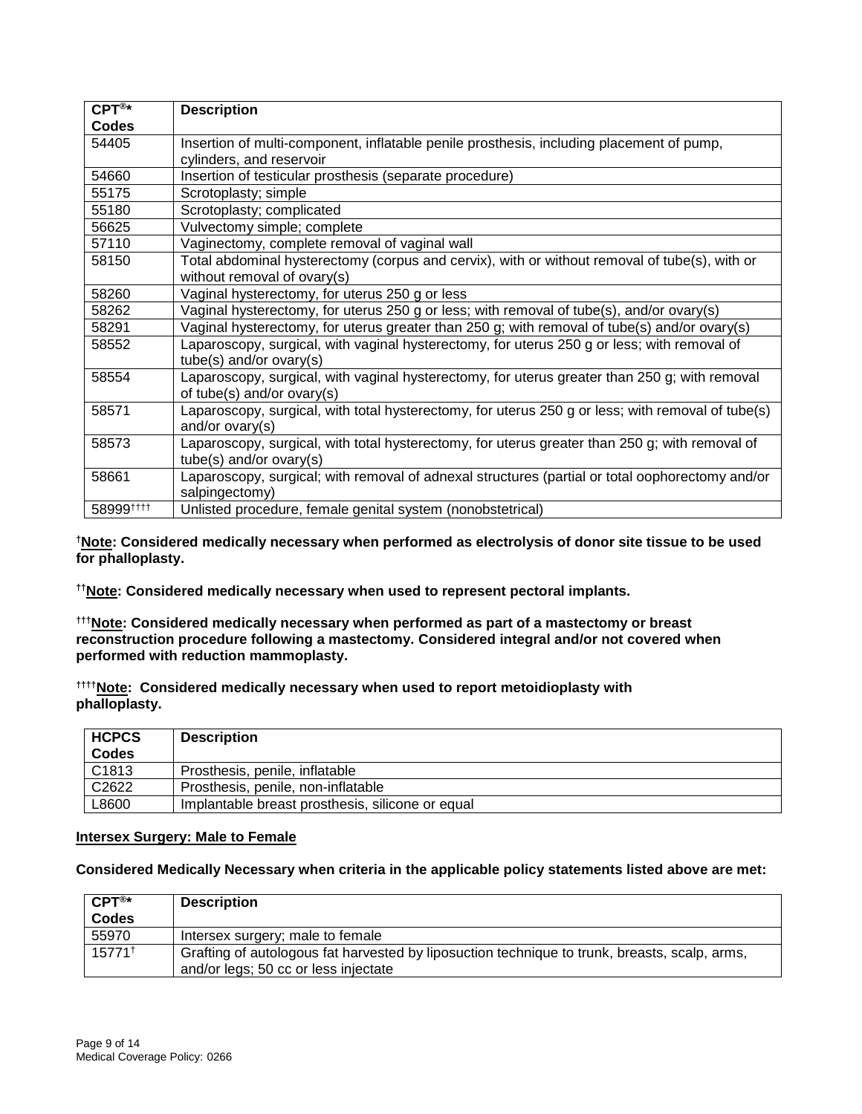| $CPT^{\circledR*}$ | <b>Description</b>                                                                                                          |
|--------------------|-----------------------------------------------------------------------------------------------------------------------------|
| <b>Codes</b>       |                                                                                                                             |
| 54405              | Insertion of multi-component, inflatable penile prosthesis, including placement of pump,                                    |
|                    | cylinders, and reservoir                                                                                                    |
| 54660              | Insertion of testicular prosthesis (separate procedure)                                                                     |
| 55175              | Scrotoplasty; simple                                                                                                        |
| 55180              | Scrotoplasty; complicated                                                                                                   |
| 56625              | Vulvectomy simple; complete                                                                                                 |
| 57110              | Vaginectomy, complete removal of vaginal wall                                                                               |
| 58150              | Total abdominal hysterectomy (corpus and cervix), with or without removal of tube(s), with or                               |
|                    | without removal of ovary(s)                                                                                                 |
| 58260              | Vaginal hysterectomy, for uterus 250 g or less                                                                              |
| 58262              | Vaginal hysterectomy, for uterus 250 g or less; with removal of tube(s), and/or ovary(s)                                    |
| 58291              | Vaginal hysterectomy, for uterus greater than 250 g; with removal of tube(s) and/or ovary(s)                                |
| 58552              | Laparoscopy, surgical, with vaginal hysterectomy, for uterus 250 g or less; with removal of                                 |
|                    | tube(s) and/or ovary(s)                                                                                                     |
| 58554              | Laparoscopy, surgical, with vaginal hysterectomy, for uterus greater than 250 g; with removal<br>of tube(s) and/or ovary(s) |
| 58571              | Laparoscopy, surgical, with total hysterectomy, for uterus 250 g or less; with removal of tube(s)                           |
|                    | and/or ovary(s)                                                                                                             |
| 58573              | Laparoscopy, surgical, with total hysterectomy, for uterus greater than 250 g; with removal of                              |
|                    | $tube(s)$ and/or ovary(s)                                                                                                   |
| 58661              | Laparoscopy, surgical; with removal of adnexal structures (partial or total oophorectomy and/or                             |
|                    | salpingectomy)                                                                                                              |
| 58999###           | Unlisted procedure, female genital system (nonobstetrical)                                                                  |

**†Note: Considered medically necessary when performed as electrolysis of donor site tissue to be used for phalloplasty.**

**††Note: Considered medically necessary when used to represent pectoral implants.**

**†††Note: Considered medically necessary when performed as part of a mastectomy or breast reconstruction procedure following a mastectomy. Considered integral and/or not covered when performed with reduction mammoplasty.** 

**††††Note: Considered medically necessary when used to report metoidioplasty with phalloplasty.** 

| <b>HCPCS</b>      | <b>Description</b>                               |
|-------------------|--------------------------------------------------|
| Codes             |                                                  |
| C <sub>1813</sub> | Prosthesis, penile, inflatable                   |
| C <sub>2622</sub> | Prosthesis, penile, non-inflatable               |
| ∟8600             | Implantable breast prosthesis, silicone or equal |

#### **Intersex Surgery: Male to Female**

**Considered Medically Necessary when criteria in the applicable policy statements listed above are met:**

| $CPT^{\circledR\star}$ | <b>Description</b>                                                                            |
|------------------------|-----------------------------------------------------------------------------------------------|
| <b>Codes</b>           |                                                                                               |
| 55970                  | Intersex surgery; male to female                                                              |
| 15771 <sup>+</sup>     | Grafting of autologous fat harvested by liposuction technique to trunk, breasts, scalp, arms, |
|                        | and/or legs; 50 cc or less injectate                                                          |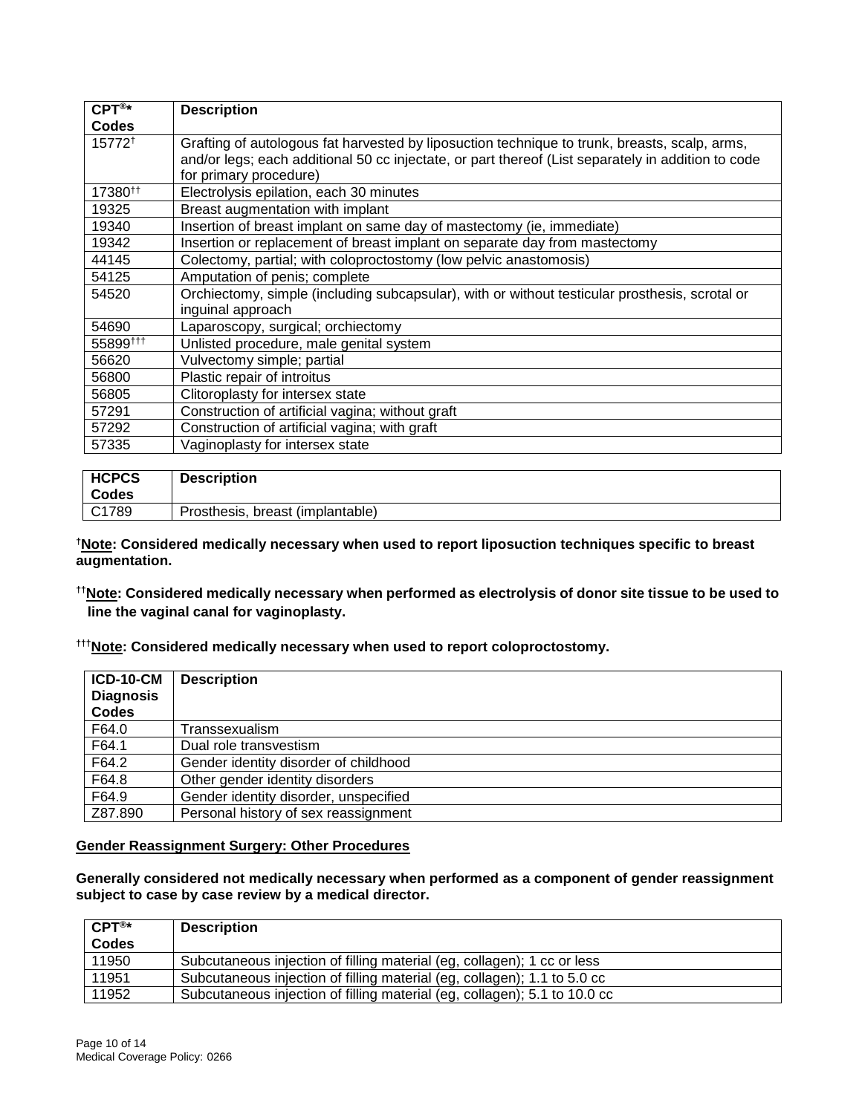| $CPT^{\circledR*}$  | <b>Description</b>                                                                                                                                                                                                            |
|---------------------|-------------------------------------------------------------------------------------------------------------------------------------------------------------------------------------------------------------------------------|
| <b>Codes</b>        |                                                                                                                                                                                                                               |
| 15772 <sup>+</sup>  | Grafting of autologous fat harvested by liposuction technique to trunk, breasts, scalp, arms,<br>and/or legs; each additional 50 cc injectate, or part thereof (List separately in addition to code<br>for primary procedure) |
| 17380 <sup>tt</sup> | Electrolysis epilation, each 30 minutes                                                                                                                                                                                       |
| 19325               | Breast augmentation with implant                                                                                                                                                                                              |
| 19340               | Insertion of breast implant on same day of mastectomy (ie, immediate)                                                                                                                                                         |
| 19342               | Insertion or replacement of breast implant on separate day from mastectomy                                                                                                                                                    |
| 44145               | Colectomy, partial; with coloproctostomy (low pelvic anastomosis)                                                                                                                                                             |
| 54125               | Amputation of penis; complete                                                                                                                                                                                                 |
| 54520               | Orchiectomy, simple (including subcapsular), with or without testicular prosthesis, scrotal or<br>inguinal approach                                                                                                           |
| 54690               | Laparoscopy, surgical; orchiectomy                                                                                                                                                                                            |
| 55899##             | Unlisted procedure, male genital system                                                                                                                                                                                       |
| 56620               | Vulvectomy simple; partial                                                                                                                                                                                                    |
| 56800               | Plastic repair of introitus                                                                                                                                                                                                   |
| 56805               | Clitoroplasty for intersex state                                                                                                                                                                                              |
| 57291               | Construction of artificial vagina; without graft                                                                                                                                                                              |
| 57292               | Construction of artificial vagina; with graft                                                                                                                                                                                 |
| 57335               | Vaginoplasty for intersex state                                                                                                                                                                                               |

| <b>HCPCS</b><br>Codes | <b>Description</b>               |
|-----------------------|----------------------------------|
| C1789                 | Prosthesis, breast (implantable) |

**†Note: Considered medically necessary when used to report liposuction techniques specific to breast augmentation.**

**††Note: Considered medically necessary when performed as electrolysis of donor site tissue to be used to line the vaginal canal for vaginoplasty.** 

**†††Note: Considered medically necessary when used to report coloproctostomy.**

| <b>ICD-10-CM</b><br><b>Diagnosis</b><br><b>Codes</b> | <b>Description</b>                    |
|------------------------------------------------------|---------------------------------------|
| F64.0                                                | Transsexualism                        |
| F64.1                                                | Dual role transvestism                |
| F64.2                                                | Gender identity disorder of childhood |
| F64.8                                                | Other gender identity disorders       |
| F64.9                                                | Gender identity disorder, unspecified |
| Z87.890                                              | Personal history of sex reassignment  |

#### **Gender Reassignment Surgery: Other Procedures**

**Generally considered not medically necessary when performed as a component of gender reassignment subject to case by case review by a medical director.**

| ${\sf CPT}^{\circledR\star}$ | <b>Description</b>                                                        |
|------------------------------|---------------------------------------------------------------------------|
| <b>Codes</b>                 |                                                                           |
| 11950                        | Subcutaneous injection of filling material (eg, collagen); 1 cc or less   |
| 11951                        | Subcutaneous injection of filling material (eg, collagen); 1.1 to 5.0 cc  |
| 11952                        | Subcutaneous injection of filling material (eg, collagen); 5.1 to 10.0 cc |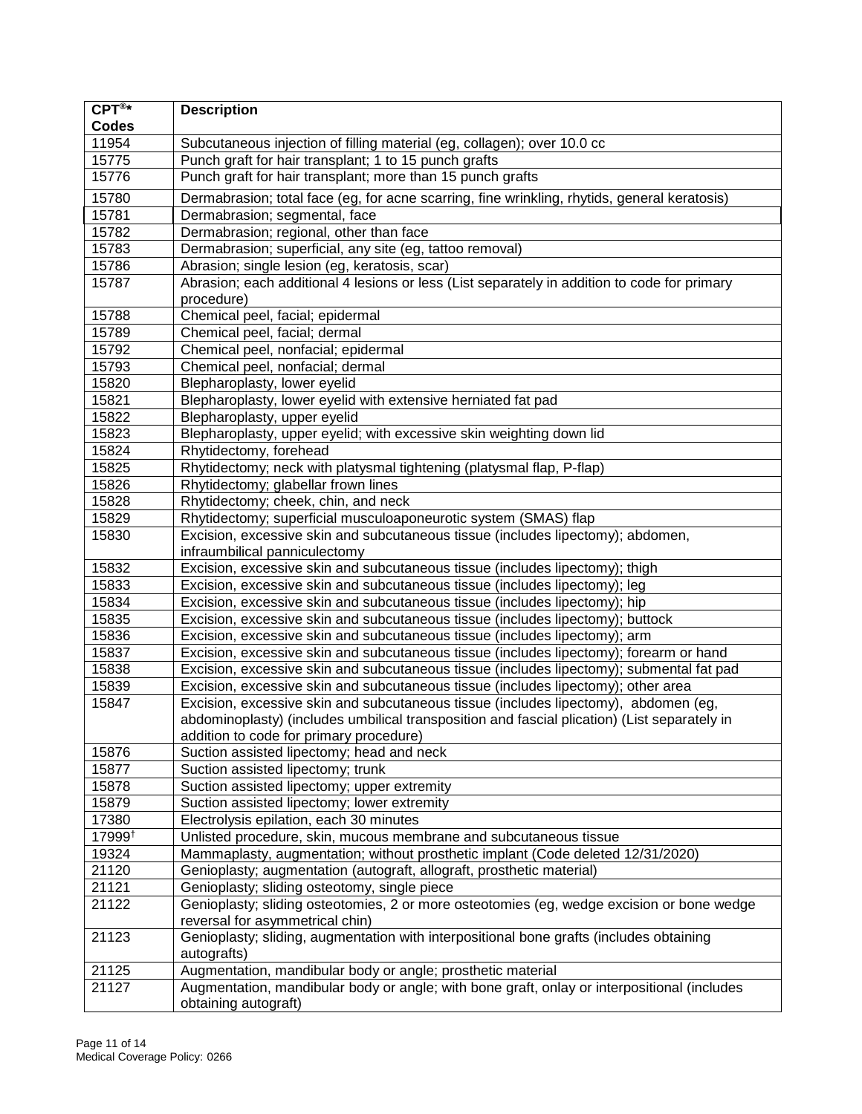| $CPT^{\circledR*}$ | <b>Description</b>                                                                                               |
|--------------------|------------------------------------------------------------------------------------------------------------------|
| Codes              |                                                                                                                  |
| 11954              | Subcutaneous injection of filling material (eg, collagen); over 10.0 cc                                          |
| 15775              | Punch graft for hair transplant; 1 to 15 punch grafts                                                            |
| 15776              | Punch graft for hair transplant; more than 15 punch grafts                                                       |
| 15780              | Dermabrasion; total face (eg, for acne scarring, fine wrinkling, rhytids, general keratosis)                     |
| 15781              | Dermabrasion; segmental, face                                                                                    |
| 15782              | Dermabrasion; regional, other than face                                                                          |
| 15783              | Dermabrasion; superficial, any site (eg, tattoo removal)                                                         |
| 15786              | Abrasion; single lesion (eg, keratosis, scar)                                                                    |
| 15787              | Abrasion; each additional 4 lesions or less (List separately in addition to code for primary<br>procedure)       |
| 15788              | Chemical peel, facial; epidermal                                                                                 |
| 15789              | Chemical peel, facial; dermal                                                                                    |
| 15792              | Chemical peel, nonfacial; epidermal                                                                              |
| 15793              | Chemical peel, nonfacial; dermal                                                                                 |
| 15820              | Blepharoplasty, lower eyelid                                                                                     |
| 15821              | Blepharoplasty, lower eyelid with extensive herniated fat pad                                                    |
| 15822              | Blepharoplasty, upper eyelid                                                                                     |
| 15823              | Blepharoplasty, upper eyelid; with excessive skin weighting down lid                                             |
| 15824              | Rhytidectomy, forehead                                                                                           |
| 15825              | Rhytidectomy; neck with platysmal tightening (platysmal flap, P-flap)                                            |
| 15826              | Rhytidectomy; glabellar frown lines                                                                              |
| 15828              | Rhytidectomy; cheek, chin, and neck                                                                              |
| 15829              | Rhytidectomy; superficial musculoaponeurotic system (SMAS) flap                                                  |
|                    |                                                                                                                  |
| 15830              | Excision, excessive skin and subcutaneous tissue (includes lipectomy); abdomen,<br>infraumbilical panniculectomy |
| 15832              | Excision, excessive skin and subcutaneous tissue (includes lipectomy); thigh                                     |
| 15833              | Excision, excessive skin and subcutaneous tissue (includes lipectomy); leg                                       |
| 15834              | Excision, excessive skin and subcutaneous tissue (includes lipectomy); hip                                       |
| 15835              | Excision, excessive skin and subcutaneous tissue (includes lipectomy); buttock                                   |
| 15836              | Excision, excessive skin and subcutaneous tissue (includes lipectomy); arm                                       |
| 15837              | Excision, excessive skin and subcutaneous tissue (includes lipectomy); forearm or hand                           |
| 15838              | Excision, excessive skin and subcutaneous tissue (includes lipectomy); submental fat pad                         |
| 15839              | Excision, excessive skin and subcutaneous tissue (includes lipectomy); other area                                |
| 15847              | Excision, excessive skin and subcutaneous tissue (includes lipectomy), abdomen (eg,                              |
|                    | abdominoplasty) (includes umbilical transposition and fascial plication) (List separately in                     |
|                    | addition to code for primary procedure)                                                                          |
| 15876              | Suction assisted lipectomy; head and neck                                                                        |
| 15877              | Suction assisted lipectomy; trunk                                                                                |
| 15878              | Suction assisted lipectomy; upper extremity                                                                      |
| 15879              | Suction assisted lipectomy; lower extremity                                                                      |
| 17380              | Electrolysis epilation, each 30 minutes                                                                          |
| 17999 <sup>+</sup> | Unlisted procedure, skin, mucous membrane and subcutaneous tissue                                                |
| 19324              | Mammaplasty, augmentation; without prosthetic implant (Code deleted 12/31/2020)                                  |
| 21120              | Genioplasty; augmentation (autograft, allograft, prosthetic material)                                            |
| 21121              | Genioplasty; sliding osteotomy, single piece                                                                     |
| 21122              | Genioplasty; sliding osteotomies, 2 or more osteotomies (eg, wedge excision or bone wedge                        |
|                    | reversal for asymmetrical chin)                                                                                  |
| 21123              | Genioplasty; sliding, augmentation with interpositional bone grafts (includes obtaining                          |
|                    | autografts)                                                                                                      |
| 21125              | Augmentation, mandibular body or angle; prosthetic material                                                      |
| 21127              | Augmentation, mandibular body or angle; with bone graft, onlay or interpositional (includes                      |
|                    | obtaining autograft)                                                                                             |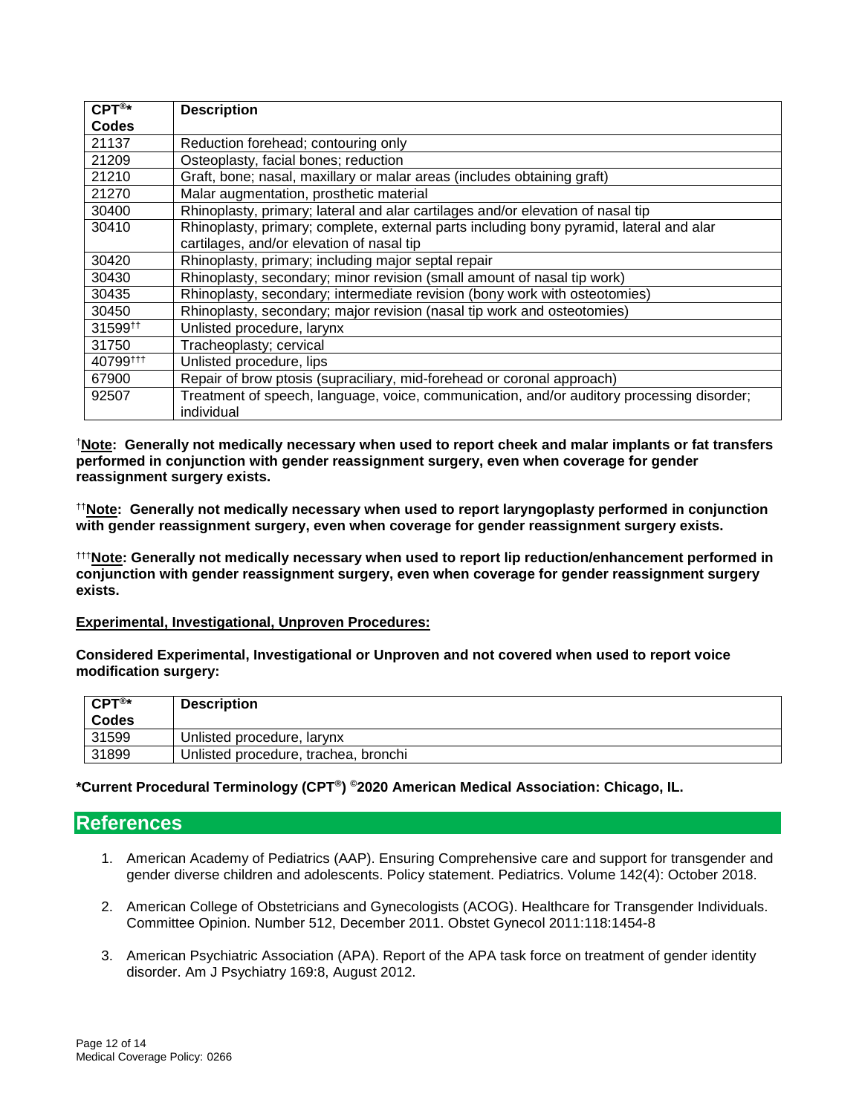| $CPT^{\circledR*}$                             | <b>Description</b>                                                                        |
|------------------------------------------------|-------------------------------------------------------------------------------------------|
| Codes                                          |                                                                                           |
| 21137                                          | Reduction forehead; contouring only                                                       |
| 21209                                          | Osteoplasty, facial bones; reduction                                                      |
| 21210                                          | Graft, bone; nasal, maxillary or malar areas (includes obtaining graft)                   |
| 21270                                          | Malar augmentation, prosthetic material                                                   |
| 30400                                          | Rhinoplasty, primary; lateral and alar cartilages and/or elevation of nasal tip           |
| 30410                                          | Rhinoplasty, primary; complete, external parts including bony pyramid, lateral and alar   |
|                                                | cartilages, and/or elevation of nasal tip                                                 |
| 30420                                          | Rhinoplasty, primary; including major septal repair                                       |
| 30430                                          | Rhinoplasty, secondary; minor revision (small amount of nasal tip work)                   |
| 30435                                          | Rhinoplasty, secondary; intermediate revision (bony work with osteotomies)                |
| 30450                                          | Rhinoplasty, secondary; major revision (nasal tip work and osteotomies)                   |
| 31599 <sup><math>\uparrow\uparrow</math></sup> | Unlisted procedure, larynx                                                                |
| 31750                                          | Tracheoplasty; cervical                                                                   |
| 40799#11                                       | Unlisted procedure, lips                                                                  |
| 67900                                          | Repair of brow ptosis (supraciliary, mid-forehead or coronal approach)                    |
| 92507                                          | Treatment of speech, language, voice, communication, and/or auditory processing disorder; |
|                                                | individual                                                                                |

†**Note: Generally not medically necessary when used to report cheek and malar implants or fat transfers performed in conjunction with gender reassignment surgery, even when coverage for gender reassignment surgery exists.** 

††**Note: Generally not medically necessary when used to report laryngoplasty performed in conjunction with gender reassignment surgery, even when coverage for gender reassignment surgery exists.** 

†††**Note: Generally not medically necessary when used to report lip reduction/enhancement performed in conjunction with gender reassignment surgery, even when coverage for gender reassignment surgery exists.**

#### **Experimental, Investigational, Unproven Procedures:**

**Considered Experimental, Investigational or Unproven and not covered when used to report voice modification surgery:** 

| $CPT^{\circledR*}$<br><b>Codes</b> | <b>Description</b>                   |
|------------------------------------|--------------------------------------|
| 31599                              | Unlisted procedure, larynx           |
| 31899                              | Unlisted procedure, trachea, bronchi |

**\*Current Procedural Terminology (CPT®) ©2020 American Medical Association: Chicago, IL.**

### <span id="page-11-0"></span>**References**

- 1. American Academy of Pediatrics (AAP). Ensuring Comprehensive care and support for transgender and gender diverse children and adolescents. Policy statement. Pediatrics. Volume 142(4): October 2018.
- 2. American College of Obstetricians and Gynecologists (ACOG). Healthcare for Transgender Individuals. Committee Opinion. Number 512, December 2011. Obstet Gynecol 2011:118:1454-8
- 3. American Psychiatric Association (APA). Report of the APA task force on treatment of gender identity disorder. Am J Psychiatry 169:8, August 2012.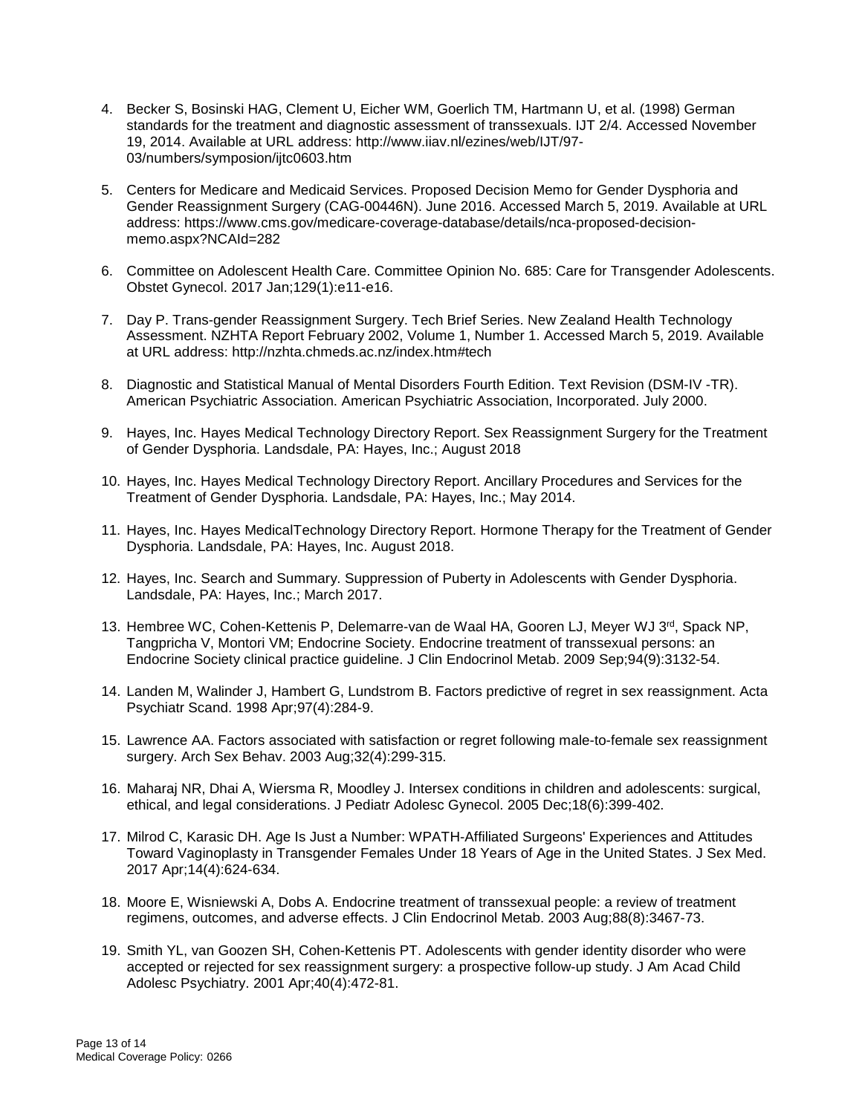- 4. Becker S, Bosinski HAG, Clement U, Eicher WM, Goerlich TM, Hartmann U, et al. (1998) German standards for the treatment and diagnostic assessment of transsexuals. IJT 2/4. Accessed November 19, 2014. Available at URL address: http://www.iiav.nl/ezines/web/IJT/97- 03/numbers/symposion/ijtc0603.htm
- 5. Centers for Medicare and Medicaid Services. Proposed Decision Memo for Gender Dysphoria and Gender Reassignment Surgery (CAG-00446N). June 2016. Accessed March 5, 2019. Available at URL address: https://www.cms.gov/medicare-coverage-database/details/nca-proposed-decisionmemo.aspx?NCAId=282
- 6. Committee on Adolescent Health Care. Committee Opinion No. 685: Care for Transgender Adolescents. Obstet Gynecol. 2017 Jan;129(1):e11-e16.
- 7. Day P. Trans-gender Reassignment Surgery. Tech Brief Series. New Zealand Health Technology Assessment. NZHTA Report February 2002, Volume 1, Number 1. Accessed March 5, 2019. Available at URL address: http://nzhta.chmeds.ac.nz/index.htm#tech
- 8. Diagnostic and Statistical Manual of Mental Disorders Fourth Edition. Text Revision (DSM-IV -TR). American Psychiatric Association. American Psychiatric Association, Incorporated. July 2000.
- 9. Hayes, Inc. Hayes Medical Technology Directory Report. Sex Reassignment Surgery for the Treatment of Gender Dysphoria. Landsdale, PA: Hayes, Inc.; August 2018
- 10. Hayes, Inc. Hayes Medical Technology Directory Report. Ancillary Procedures and Services for the Treatment of Gender Dysphoria. Landsdale, PA: Hayes, Inc.; May 2014.
- 11. Hayes, Inc. Hayes MedicalTechnology Directory Report. Hormone Therapy for the Treatment of Gender Dysphoria. Landsdale, PA: Hayes, Inc. August 2018.
- 12. Hayes, Inc. Search and Summary. Suppression of Puberty in Adolescents with Gender Dysphoria. Landsdale, PA: Hayes, Inc.; March 2017.
- 13. Hembree WC, Cohen-Kettenis P, Delemarre-van de Waal HA, Gooren LJ, Meyer WJ 3rd, Spack NP, Tangpricha V, Montori VM; Endocrine Society. Endocrine treatment of transsexual persons: an Endocrine Society clinical practice guideline. J Clin Endocrinol Metab. 2009 Sep;94(9):3132-54.
- 14. Landen M, Walinder J, Hambert G, Lundstrom B. Factors predictive of regret in sex reassignment. Acta Psychiatr Scand. 1998 Apr;97(4):284-9.
- 15. Lawrence AA. Factors associated with satisfaction or regret following male-to-female sex reassignment surgery. Arch Sex Behav. 2003 Aug;32(4):299-315.
- 16. Maharaj NR, Dhai A, Wiersma R, Moodley J. Intersex conditions in children and adolescents: surgical, ethical, and legal considerations. J Pediatr Adolesc Gynecol. 2005 Dec;18(6):399-402.
- 17. Milrod C, Karasic DH. Age Is Just a Number: WPATH-Affiliated Surgeons' Experiences and Attitudes Toward Vaginoplasty in Transgender Females Under 18 Years of Age in the United States. J Sex Med. 2017 Apr;14(4):624-634.
- 18. Moore E, Wisniewski A, Dobs A. Endocrine treatment of transsexual people: a review of treatment regimens, outcomes, and adverse effects. J Clin Endocrinol Metab. 2003 Aug;88(8):3467-73.
- 19. Smith YL, van Goozen SH, Cohen-Kettenis PT. Adolescents with gender identity disorder who were accepted or rejected for sex reassignment surgery: a prospective follow-up study. J Am Acad Child Adolesc Psychiatry. 2001 Apr;40(4):472-81.